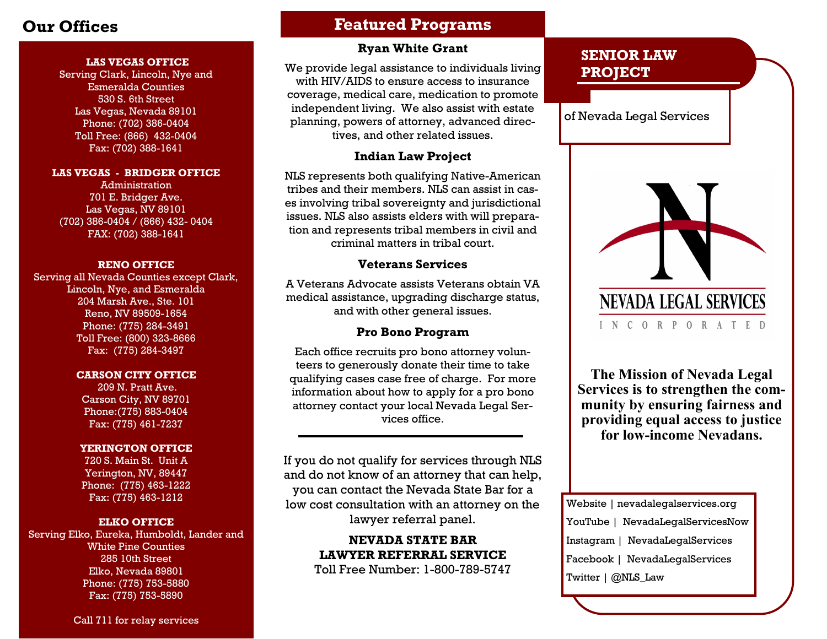#### **LAS VEGAS OFFICE**

Serving Clark, Lincoln, Nye and Esmeralda Counties 530 S. 6th Street Las Vegas, Nevada 89101 Phone: (702) 386-0404 Toll Free: (866) 432-0404 Fax: (702) 388-1641

#### **LAS VEGAS - BRIDGER OFFICE**

Administration 701 E. Bridger Ave. Las Vegas, NV 89101 (702) 386-0404 / (866) 432- 0404 FAX: (702) 388-1641

#### **RENO OFFICE**

Serving all Nevada Counties except Clark, Lincoln, Nye, and Esmeralda 204 Marsh Ave., Ste. 101 Reno, NV 89509-1654 Phone: (775) 284-3491 Toll Free: (800) 323-8666 Fax: (775) 284-3497

#### **CARSON CITY OFFICE**

209 N. Pratt Ave. Carson City, NV 89701 Phone:(775) 883-0404 Fax: (775) 461-7237

#### **YERINGTON OFFICE**

720 S. Main St. Unit A Yerington, NV, 89447 Phone: (775) 463-1222 Fax: (775) 463-1212

#### **ELKO OFFICE**

Serving Elko, Eureka, Humboldt, Lander and White Pine Counties 285 10th Street Elko, Nevada 89801 Phone: (775) 753-5880 Fax: (775) 753-5890

#### Call 711 for relay services

## **Our Offices Featured Programs**

### **Ryan White Grant**

We provide legal assistance to individuals living with HIV/AIDS to ensure access to insurance coverage, medical care, medication to promote independent living. We also assist with estate planning, powers of attorney, advanced directives, and other related issues.

#### **Indian Law Project**

NLS represents both qualifying Native-American tribes and their members. NLS can assist in cases involving tribal sovereignty and jurisdictional issues. NLS also assists elders with will preparation and represents tribal members in civil and criminal matters in tribal court.

### **Veterans Services**

A Veterans Advocate assists Veterans obtain VA medical assistance, upgrading discharge status, and with other general issues.

### **Pro Bono Program**

Each office recruits pro bono attorney volunteers to generously donate their time to take qualifying cases case free of charge. For more information about how to apply for a pro bono attorney contact your local Nevada Legal Services office.

If you do not qualify for services through NLS and do not know of an attorney that can help, you can contact the Nevada State Bar for a low cost consultation with an attorney on the lawyer referral panel.

> **NEVADA STATE BAR LAWYER REFERRAL SERVICE** Toll Free Number: 1-800-789-5747

## **SENIOR LAW PROJECT**

of Nevada Legal Services



**The Mission of Nevada Legal Services is to strengthen the community by ensuring fairness and providing equal access to justice for low-income Nevadans.**

Website | nevadalegalservices.org YouTube | NevadaLegalServicesNow Instagram | NevadaLegalServices Facebook | NevadaLegalServices Twitter | @NLS\_Law